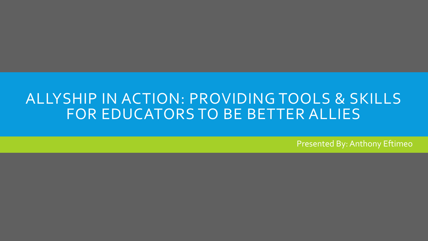#### ALLYSHIP IN ACTION: PROVIDING TOOLS & SKILLS FOR EDUCATORS TO BE BETTER ALLIES

Presented By: Anthony Eftimeo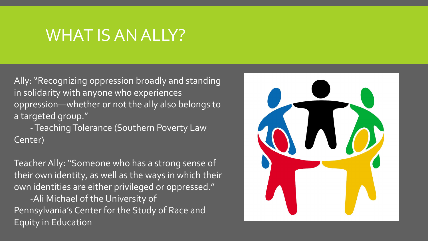### WHAT IS AN ALLY?

Ally: "Recognizing oppression broadly and standing in solidarity with anyone who experiences oppression—whether or not the ally also belongs to a targeted group."

-Teaching Tolerance (Southern Poverty Law Center)

Teacher Ally: "Someone who has a strong sense of their own identity, as well as the ways in which their own identities are either privileged or oppressed."

-Ali Michael of the University of Pennsylvania's Center for the Study of Race and Equity in Education

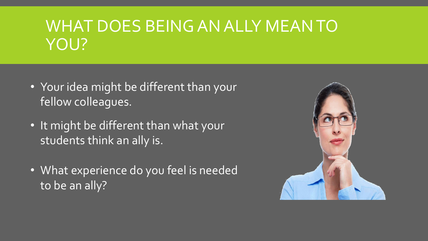# WHAT DOES BEING AN ALLY MEAN TO YOU?

- Your idea might be different than your fellow colleagues.
- It might be different than what your students think an ally is.
- What experience do you feel is needed to be an ally?

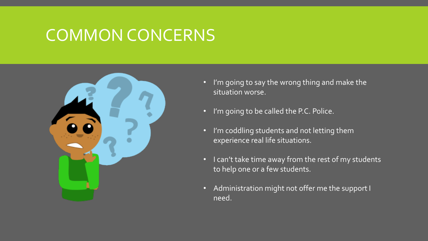### COMMON CONCERNS



- I'm going to say the wrong thing and make the situation worse.
- I'm going to be called the P.C. Police.
- I'm coddling students and not letting them experience real life situations.
- I can't take time away from the rest of my students to help one or a few students.
- Administration might not offer me the support I need.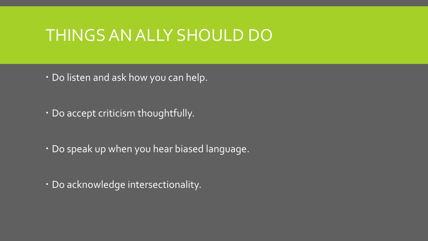### THINGS AN ALLY SHOULD DO

- Do listen and ask how you can help.
- Do accept criticism thoughtfully.
- Do speak up when you hear biased language.
- Do acknowledge intersectionality.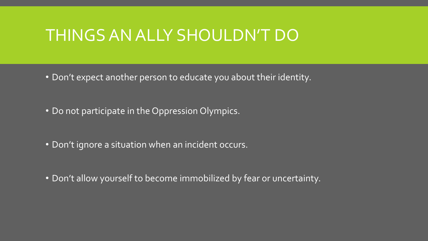### THINGS AN ALLY SHOULDN'T DO

- Don't expect another person to educate you about their identity.
- Do not participate in the Oppression Olympics.
- Don't ignore a situation when an incident occurs.
- Don't allow yourself to become immobilized by fear or uncertainty.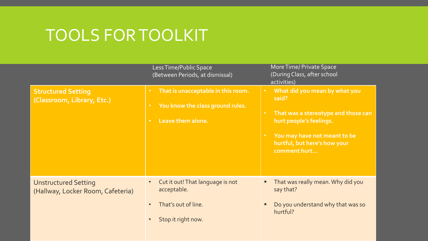### TOOLS FOR TOOLKIT

|                                                                  | Less Time/Public Space<br>(Between Periods, at dismissal)                                                                              | More Time/ Private Space<br>(During Class, after school<br>activities)                                                                                                                                                          |
|------------------------------------------------------------------|----------------------------------------------------------------------------------------------------------------------------------------|---------------------------------------------------------------------------------------------------------------------------------------------------------------------------------------------------------------------------------|
| <b>Structured Setting</b><br>(Classroom, Library, Etc.)          | That is unacceptable in this room.<br>$\bullet$ .<br>You know the class ground rules.<br>$\bullet$<br>Leave them alone.<br>$\bullet$ . | What did you mean by what you<br>$\bullet$<br>said?<br>That was a stereotype and those can<br>$\bullet$<br>hurt people's feelings.<br>You may have not meant to be<br>$\bullet$<br>hurtful, but here's how your<br>comment hurt |
| <b>Unstructured Setting</b><br>(Hallway, Locker Room, Cafeteria) | Cut it out! That language is not<br>acceptable.<br>That's out of line.<br>Stop it right now.                                           | That was really mean. Why did you<br>say that?<br>Do you understand why that was so<br>hurtful?                                                                                                                                 |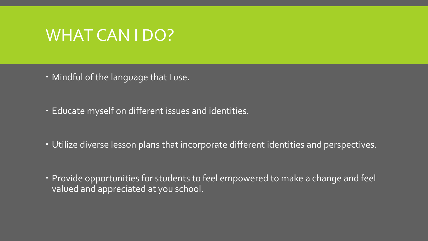### WHAT CAN I DO?

- Mindful of the language that I use.
- Educate myself on different issues and identities.
- Utilize diverse lesson plans that incorporate different identities and perspectives.
- Provide opportunities for students to feel empowered to make a change and feel valued and appreciated at you school.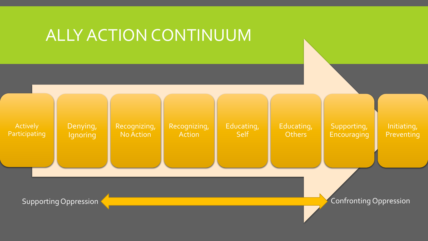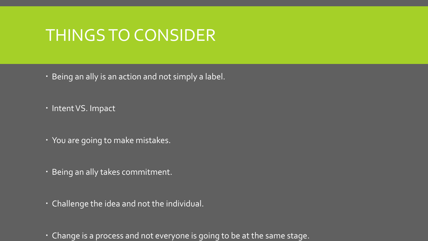### THINGS TO CONSIDER

- Being an ally is an action and not simply a label.
- · Intent VS. Impact
- You are going to make mistakes.
- Being an ally takes commitment.
- Challenge the idea and not the individual.
- Change is a process and not everyone is going to be at the same stage.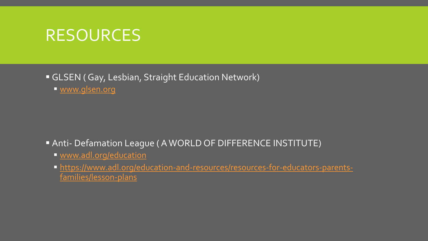#### RESOURCES

GLSEN ( Gay, Lesbian, Straight Education Network)

[www.glsen.org](http://www.glsen.org/)

Anti- Defamation League ( A WORLD OF DIFFERENCE INSTITUTE)

- [www.adl.org/education](http://www.adl.org/education)
- [https://www.adl.org/education-and-resources/resources-for-educators-parents](https://www.adl.org/education-and-resources/resources-for-educators-parents-families/lesson-plans)families/lesson-plans